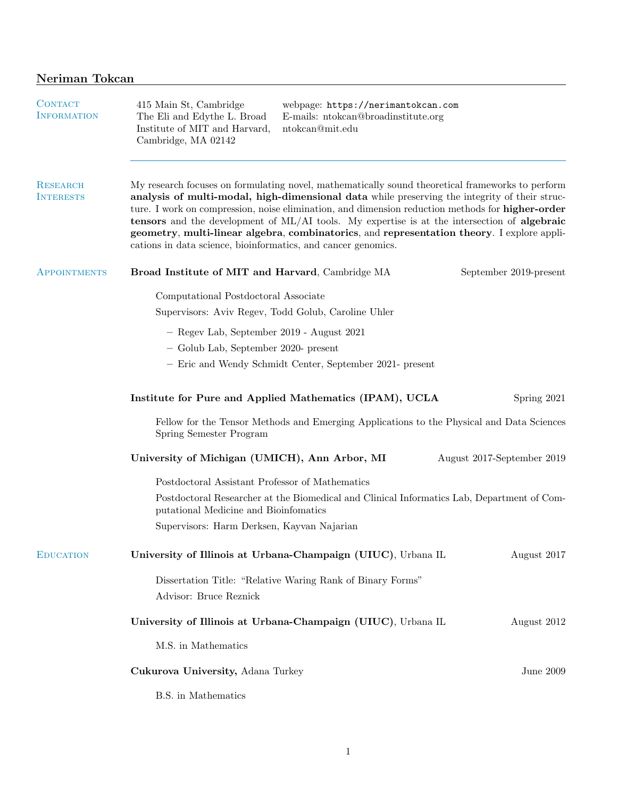| <b>CONTACT</b><br><b>INFORMATION</b> | 415 Main St, Cambridge<br>The Eli and Edythe L. Broad<br>Institute of MIT and Harvard,<br>Cambridge, MA 02142                                                                                                                                                                                                                                                                                                                                                                                                                                                               | webpage: https://nerimantokcan.com<br>E-mails: ntokcan@broadinstitute.org<br>${\rm nt}$ okcan@mit.edu |                            |  |  |
|--------------------------------------|-----------------------------------------------------------------------------------------------------------------------------------------------------------------------------------------------------------------------------------------------------------------------------------------------------------------------------------------------------------------------------------------------------------------------------------------------------------------------------------------------------------------------------------------------------------------------------|-------------------------------------------------------------------------------------------------------|----------------------------|--|--|
| <b>RESEARCH</b><br><b>INTERESTS</b>  | My research focuses on formulating novel, mathematically sound theoretical frameworks to perform<br>analysis of multi-modal, high-dimensional data while preserving the integrity of their struc-<br>ture. I work on compression, noise elimination, and dimension reduction methods for <b>higher-order</b><br>tensors and the development of ML/AI tools. My expertise is at the intersection of algebraic<br>geometry, multi-linear algebra, combinatorics, and representation theory. I explore appli-<br>cations in data science, bioinformatics, and cancer genomics. |                                                                                                       |                            |  |  |
| APPOINTMENTS                         | Broad Institute of MIT and Harvard, Cambridge MA                                                                                                                                                                                                                                                                                                                                                                                                                                                                                                                            |                                                                                                       | September 2019-present     |  |  |
|                                      | Computational Postdoctoral Associate<br>Supervisors: Aviv Regev, Todd Golub, Caroline Uhler                                                                                                                                                                                                                                                                                                                                                                                                                                                                                 |                                                                                                       |                            |  |  |
|                                      | - Regev Lab, September 2019 - August 2021                                                                                                                                                                                                                                                                                                                                                                                                                                                                                                                                   |                                                                                                       |                            |  |  |
|                                      | - Golub Lab, September 2020- present                                                                                                                                                                                                                                                                                                                                                                                                                                                                                                                                        |                                                                                                       |                            |  |  |
|                                      |                                                                                                                                                                                                                                                                                                                                                                                                                                                                                                                                                                             | - Eric and Wendy Schmidt Center, September 2021- present                                              |                            |  |  |
|                                      |                                                                                                                                                                                                                                                                                                                                                                                                                                                                                                                                                                             | Institute for Pure and Applied Mathematics (IPAM), UCLA                                               | Spring 2021                |  |  |
|                                      | Fellow for the Tensor Methods and Emerging Applications to the Physical and Data Sciences<br>Spring Semester Program                                                                                                                                                                                                                                                                                                                                                                                                                                                        |                                                                                                       |                            |  |  |
|                                      | University of Michigan (UMICH), Ann Arbor, MI                                                                                                                                                                                                                                                                                                                                                                                                                                                                                                                               |                                                                                                       | August 2017-September 2019 |  |  |
|                                      | Postdoctoral Assistant Professor of Mathematics                                                                                                                                                                                                                                                                                                                                                                                                                                                                                                                             |                                                                                                       |                            |  |  |
|                                      | Postdoctoral Researcher at the Biomedical and Clinical Informatics Lab, Department of Com-<br>putational Medicine and Bioinfomatics                                                                                                                                                                                                                                                                                                                                                                                                                                         |                                                                                                       |                            |  |  |
|                                      | Supervisors: Harm Derksen, Kayvan Najarian                                                                                                                                                                                                                                                                                                                                                                                                                                                                                                                                  |                                                                                                       |                            |  |  |
| <b>EDUCATION</b>                     |                                                                                                                                                                                                                                                                                                                                                                                                                                                                                                                                                                             | University of Illinois at Urbana-Champaign (UIUC), Urbana IL                                          | August 2017                |  |  |
|                                      | Advisor: Bruce Reznick                                                                                                                                                                                                                                                                                                                                                                                                                                                                                                                                                      | Dissertation Title: "Relative Waring Rank of Binary Forms"                                            |                            |  |  |
|                                      |                                                                                                                                                                                                                                                                                                                                                                                                                                                                                                                                                                             | University of Illinois at Urbana-Champaign (UIUC), Urbana IL                                          | August 2012                |  |  |
|                                      | M.S. in Mathematics                                                                                                                                                                                                                                                                                                                                                                                                                                                                                                                                                         |                                                                                                       |                            |  |  |
|                                      | Cukurova University, Adana Turkey                                                                                                                                                                                                                                                                                                                                                                                                                                                                                                                                           |                                                                                                       | June $2009$                |  |  |
|                                      | B.S. in Mathematics                                                                                                                                                                                                                                                                                                                                                                                                                                                                                                                                                         |                                                                                                       |                            |  |  |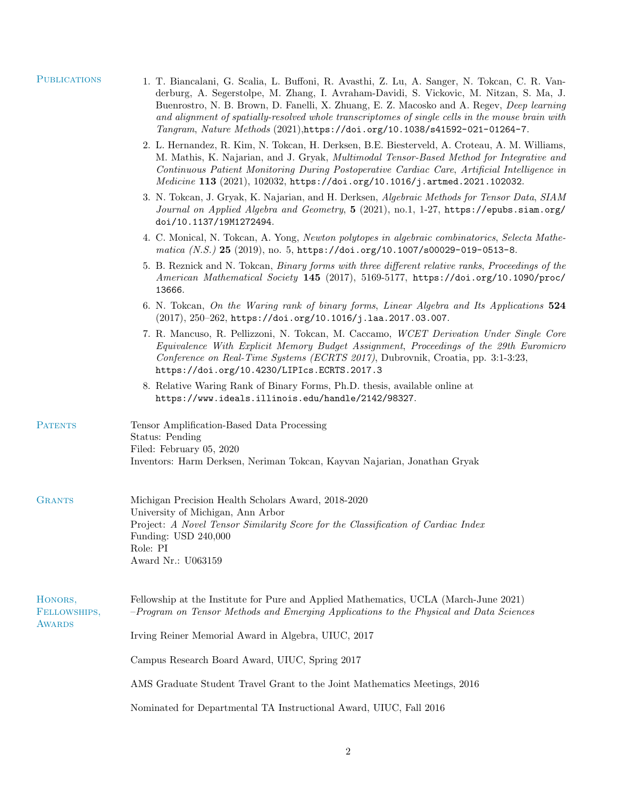| <b>PUBLICATIONS</b>               | 1. T. Biancalani, G. Scalia, L. Buffoni, R. Avasthi, Z. Lu, A. Sanger, N. Tokcan, C. R. Van-<br>derburg, A. Segerstolpe, M. Zhang, I. Avraham-Davidi, S. Vickovic, M. Nitzan, S. Ma, J.<br>Buenrostro, N. B. Brown, D. Fanelli, X. Zhuang, E. Z. Macosko and A. Regev, <i>Deep learning</i><br>and alignment of spatially-resolved whole transcriptomes of single cells in the mouse brain with<br>Tangram, Nature Methods (2021), https://doi.org/10.1038/s41592-021-01264-7. |  |  |  |
|-----------------------------------|--------------------------------------------------------------------------------------------------------------------------------------------------------------------------------------------------------------------------------------------------------------------------------------------------------------------------------------------------------------------------------------------------------------------------------------------------------------------------------|--|--|--|
|                                   | 2. L. Hernandez, R. Kim, N. Tokcan, H. Derksen, B.E. Biesterveld, A. Croteau, A. M. Williams,<br>M. Mathis, K. Najarian, and J. Gryak, Multimodal Tensor-Based Method for Integrative and<br>Continuous Patient Monitoring During Postoperative Cardiac Care, Artificial Intelligence in<br>Medicine 113 (2021), 102032, https://doi.org/10.1016/j.artmed.2021.102032.                                                                                                         |  |  |  |
|                                   | 3. N. Tokcan, J. Gryak, K. Najarian, and H. Derksen, Algebraic Methods for Tensor Data, SIAM<br>Journal on Applied Algebra and Geometry, 5 (2021), no.1, 1-27, https://epubs.siam.org/<br>doi/10.1137/19M1272494.                                                                                                                                                                                                                                                              |  |  |  |
|                                   | 4. C. Monical, N. Tokcan, A. Yong, Newton polytopes in algebraic combinatorics, Selecta Mathe-<br>matica (N.S.) 25 (2019), no. 5, https://doi.org/10.1007/s00029-019-0513-8.                                                                                                                                                                                                                                                                                                   |  |  |  |
|                                   | 5. B. Reznick and N. Tokcan, <i>Binary forms with three different relative ranks</i> , <i>Proceedings of the</i><br>American Mathematical Society 145 (2017), 5169-5177, https://doi.org/10.1090/proc/<br>13666.                                                                                                                                                                                                                                                               |  |  |  |
|                                   | 6. N. Tokcan, On the Waring rank of binary forms, Linear Algebra and Its Applications 524<br>$(2017), 250-262,$ https://doi.org/10.1016/j.laa.2017.03.007.                                                                                                                                                                                                                                                                                                                     |  |  |  |
|                                   | 7. R. Mancuso, R. Pellizzoni, N. Tokcan, M. Caccamo, WCET Derivation Under Single Core<br>Equivalence With Explicit Memory Budget Assignment, Proceedings of the 29th Euromicro<br>Conference on Real-Time Systems (ECRTS 2017), Dubrovnik, Croatia, pp. 3:1-3:23,<br>https://doi.org/10.4230/LIPIcs.ECRTS.2017.3                                                                                                                                                              |  |  |  |
|                                   | 8. Relative Waring Rank of Binary Forms, Ph.D. thesis, available online at<br>https://www.ideals.illinois.edu/handle/2142/98327.                                                                                                                                                                                                                                                                                                                                               |  |  |  |
| <b>PATENTS</b>                    | Tensor Amplification-Based Data Processing<br>Status: Pending<br>Filed: February 05, 2020                                                                                                                                                                                                                                                                                                                                                                                      |  |  |  |
|                                   | Inventors: Harm Derksen, Neriman Tokcan, Kayvan Najarian, Jonathan Gryak                                                                                                                                                                                                                                                                                                                                                                                                       |  |  |  |
| <b>GRANTS</b>                     | Michigan Precision Health Scholars Award, 2018-2020<br>University of Michigan, Ann Arbor                                                                                                                                                                                                                                                                                                                                                                                       |  |  |  |
|                                   | Project: A Novel Tensor Similarity Score for the Classification of Cardiac Index<br>Funding: USD 240,000<br>Role: PI<br>Award Nr.: U063159                                                                                                                                                                                                                                                                                                                                     |  |  |  |
|                                   |                                                                                                                                                                                                                                                                                                                                                                                                                                                                                |  |  |  |
| HONORS,<br>FELLOWSHIPS,<br>AWARDS | Fellowship at the Institute for Pure and Applied Mathematics, UCLA (March-June 2021)<br>-Program on Tensor Methods and Emerging Applications to the Physical and Data Sciences                                                                                                                                                                                                                                                                                                 |  |  |  |
|                                   | Irving Reiner Memorial Award in Algebra, UIUC, 2017                                                                                                                                                                                                                                                                                                                                                                                                                            |  |  |  |
|                                   | Campus Research Board Award, UIUC, Spring 2017                                                                                                                                                                                                                                                                                                                                                                                                                                 |  |  |  |
|                                   | AMS Graduate Student Travel Grant to the Joint Mathematics Meetings, 2016                                                                                                                                                                                                                                                                                                                                                                                                      |  |  |  |
|                                   | Nominated for Departmental TA Instructional Award, UIUC, Fall 2016                                                                                                                                                                                                                                                                                                                                                                                                             |  |  |  |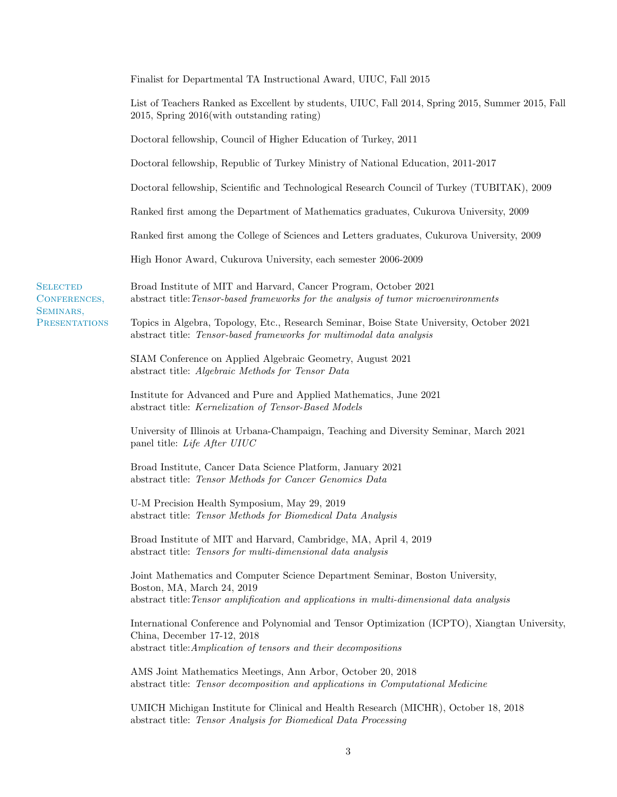|                                                                      | Finalist for Departmental TA Instructional Award, UIUC, Fall 2015                                                                                                                                       |
|----------------------------------------------------------------------|---------------------------------------------------------------------------------------------------------------------------------------------------------------------------------------------------------|
|                                                                      | List of Teachers Ranked as Excellent by students, UIUC, Fall 2014, Spring 2015, Summer 2015, Fall<br>2015, Spring 2016(with outstanding rating)                                                         |
|                                                                      | Doctoral fellowship, Council of Higher Education of Turkey, 2011                                                                                                                                        |
|                                                                      | Doctoral fellowship, Republic of Turkey Ministry of National Education, 2011-2017                                                                                                                       |
|                                                                      | Doctoral fellowship, Scientific and Technological Research Council of Turkey (TUBITAK), 2009                                                                                                            |
|                                                                      | Ranked first among the Department of Mathematics graduates, Cukurova University, 2009                                                                                                                   |
|                                                                      | Ranked first among the College of Sciences and Letters graduates, Cukurova University, 2009                                                                                                             |
|                                                                      | High Honor Award, Cukurova University, each semester 2006-2009                                                                                                                                          |
| <b>SELECTED</b><br>CONFERENCES,<br>SEMINARS,<br><b>PRESENTATIONS</b> | Broad Institute of MIT and Harvard, Cancer Program, October 2021<br>abstract title: Tensor-based frameworks for the analysis of tumor microenvironments                                                 |
|                                                                      | Topics in Algebra, Topology, Etc., Research Seminar, Boise State University, October 2021<br>abstract title: Tensor-based frameworks for multimodal data analysis                                       |
|                                                                      | SIAM Conference on Applied Algebraic Geometry, August 2021<br>abstract title: Algebraic Methods for Tensor Data                                                                                         |
|                                                                      | Institute for Advanced and Pure and Applied Mathematics, June 2021<br>abstract title: Kernelization of Tensor-Based Models                                                                              |
|                                                                      | University of Illinois at Urbana-Champaign, Teaching and Diversity Seminar, March 2021<br>panel title: Life After UIUC                                                                                  |
|                                                                      | Broad Institute, Cancer Data Science Platform, January 2021<br>abstract title: Tensor Methods for Cancer Genomics Data                                                                                  |
|                                                                      | U-M Precision Health Symposium, May 29, 2019<br>abstract title: Tensor Methods for Biomedical Data Analysis                                                                                             |
|                                                                      | Broad Institute of MIT and Harvard, Cambridge, MA, April 4, 2019<br>abstract title: Tensors for multi-dimensional data analysis                                                                         |
|                                                                      | Joint Mathematics and Computer Science Department Seminar, Boston University,<br>Boston, MA, March 24, 2019<br>abstract title: Tensor amplification and applications in multi-dimensional data analysis |
|                                                                      | International Conference and Polynomial and Tensor Optimization (ICPTO), Xiangtan University,<br>China, December 17-12, 2018<br>abstract title: Amplication of tensors and their decompositions         |
|                                                                      | AMS Joint Mathematics Meetings, Ann Arbor, October 20, 2018<br>abstract title: Tensor decomposition and applications in Computational Medicine                                                          |
|                                                                      | UMICH Michigan Institute for Clinical and Health Research (MICHR), October 18, 2018<br>abstract title: Tensor Analysis for Biomedical Data Processing                                                   |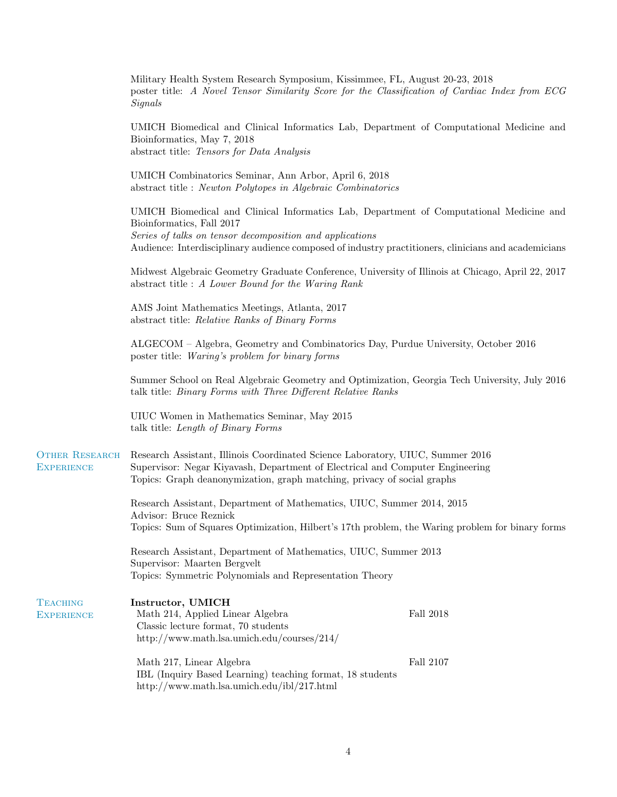|                                                                                                                                                         | Military Health System Research Symposium, Kissimmee, FL, August 20-23, 2018<br>poster title: A Novel Tensor Similarity Score for the Classification of Cardiac Index from ECG<br><b>Signals</b>                                                                                         |           |  |
|---------------------------------------------------------------------------------------------------------------------------------------------------------|------------------------------------------------------------------------------------------------------------------------------------------------------------------------------------------------------------------------------------------------------------------------------------------|-----------|--|
|                                                                                                                                                         | UMICH Biomedical and Clinical Informatics Lab, Department of Computational Medicine and<br>Bioinformatics, May 7, 2018<br>abstract title: Tensors for Data Analysis                                                                                                                      |           |  |
|                                                                                                                                                         | UMICH Combinatorics Seminar, Ann Arbor, April 6, 2018<br>abstract title : Newton Polytopes in Algebraic Combinatorics                                                                                                                                                                    |           |  |
|                                                                                                                                                         | UMICH Biomedical and Clinical Informatics Lab, Department of Computational Medicine and<br>Bioinformatics, Fall 2017<br>Series of talks on tensor decomposition and applications<br>Audience: Interdisciplinary audience composed of industry practitioners, clinicians and academicians |           |  |
| Midwest Algebraic Geometry Graduate Conference, University of Illinois at Chicago, April 22, 2017<br>abstract title : A Lower Bound for the Waring Rank |                                                                                                                                                                                                                                                                                          |           |  |
|                                                                                                                                                         | AMS Joint Mathematics Meetings, Atlanta, 2017<br>abstract title: Relative Ranks of Binary Forms<br>ALGECOM – Algebra, Geometry and Combinatorics Day, Purdue University, October 2016<br>poster title: Waring's problem for binary forms                                                 |           |  |
|                                                                                                                                                         |                                                                                                                                                                                                                                                                                          |           |  |
|                                                                                                                                                         | Summer School on Real Algebraic Geometry and Optimization, Georgia Tech University, July 2016<br>talk title: Binary Forms with Three Different Relative Ranks                                                                                                                            |           |  |
|                                                                                                                                                         | UIUC Women in Mathematics Seminar, May 2015<br>talk title: Length of Binary Forms                                                                                                                                                                                                        |           |  |
| <b>OTHER RESEARCH</b><br><b>EXPERIENCE</b>                                                                                                              | Research Assistant, Illinois Coordinated Science Laboratory, UIUC, Summer 2016<br>Supervisor: Negar Kiyavash, Department of Electrical and Computer Engineering<br>Topics: Graph deanonymization, graph matching, privacy of social graphs                                               |           |  |
|                                                                                                                                                         | Research Assistant, Department of Mathematics, UIUC, Summer 2014, 2015<br>Advisor: Bruce Reznick<br>Topics: Sum of Squares Optimization, Hilbert's 17th problem, the Waring problem for binary forms                                                                                     |           |  |
|                                                                                                                                                         | Research Assistant, Department of Mathematics, UIUC, Summer 2013<br>Supervisor: Maarten Bergvelt<br>Topics: Symmetric Polynomials and Representation Theory                                                                                                                              |           |  |
| <b>TEACHING</b><br><b>EXPERIENCE</b>                                                                                                                    | Instructor, UMICH<br>Math 214, Applied Linear Algebra<br>Classic lecture format, 70 students<br>http://www.math.lsa.umich.edu/courses/214/                                                                                                                                               | Fall 2018 |  |
|                                                                                                                                                         | Math 217, Linear Algebra<br>IBL (Inquiry Based Learning) teaching format, 18 students<br>http://www.math.lsa.umich.edu/ibl/217.html                                                                                                                                                      | Fall 2107 |  |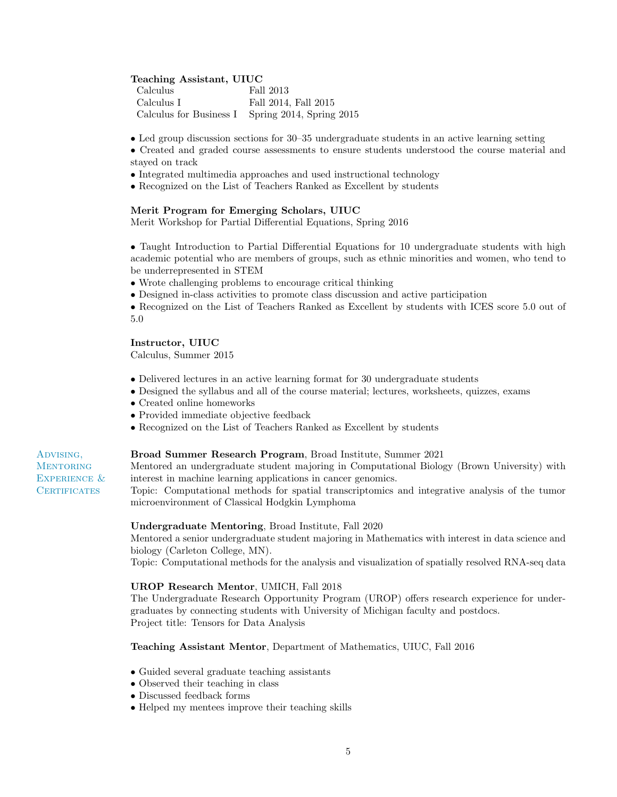## Teaching Assistant, UIUC

| - Calculus   | Fall 2013                                        |
|--------------|--------------------------------------------------|
| - Calculus I | Fall 2014, Fall 2015                             |
|              | Calculus for Business I Spring 2014, Spring 2015 |

• Led group discussion sections for 30–35 undergraduate students in an active learning setting

• Created and graded course assessments to ensure students understood the course material and stayed on track

- Integrated multimedia approaches and used instructional technology
- Recognized on the List of Teachers Ranked as Excellent by students

## Merit Program for Emerging Scholars, UIUC

Merit Workshop for Partial Differential Equations, Spring 2016

• Taught Introduction to Partial Differential Equations for 10 undergraduate students with high academic potential who are members of groups, such as ethnic minorities and women, who tend to be underrepresented in STEM

- Wrote challenging problems to encourage critical thinking
- Designed in-class activities to promote class discussion and active participation
- Recognized on the List of Teachers Ranked as Excellent by students with ICES score 5.0 out of 5.0

### Instructor, UIUC

Calculus, Summer 2015

- Delivered lectures in an active learning format for 30 undergraduate students
- Designed the syllabus and all of the course material; lectures, worksheets, quizzes, exams
- Created online homeworks
- Provided immediate objective feedback
- Recognized on the List of Teachers Ranked as Excellent by students

# Broad Summer Research Program, Broad Institute, Summer 2021

Mentored an undergraduate student majoring in Computational Biology (Brown University) with interest in machine learning applications in cancer genomics.

Topic: Computational methods for spatial transcriptomics and integrative analysis of the tumor microenvironment of Classical Hodgkin Lymphoma

## Undergraduate Mentoring, Broad Institute, Fall 2020

Mentored a senior undergraduate student majoring in Mathematics with interest in data science and biology (Carleton College, MN).

Topic: Computational methods for the analysis and visualization of spatially resolved RNA-seq data

## UROP Research Mentor, UMICH, Fall 2018

The Undergraduate Research Opportunity Program (UROP) offers research experience for undergraduates by connecting students with University of Michigan faculty and postdocs. Project title: Tensors for Data Analysis

#### Teaching Assistant Mentor, Department of Mathematics, UIUC, Fall 2016

- Guided several graduate teaching assistants
- Observed their teaching in class
- Discussed feedback forms
- Helped my mentees improve their teaching skills

# Advising, **MENTORING** EXPERIENCE & **CERTIFICATES**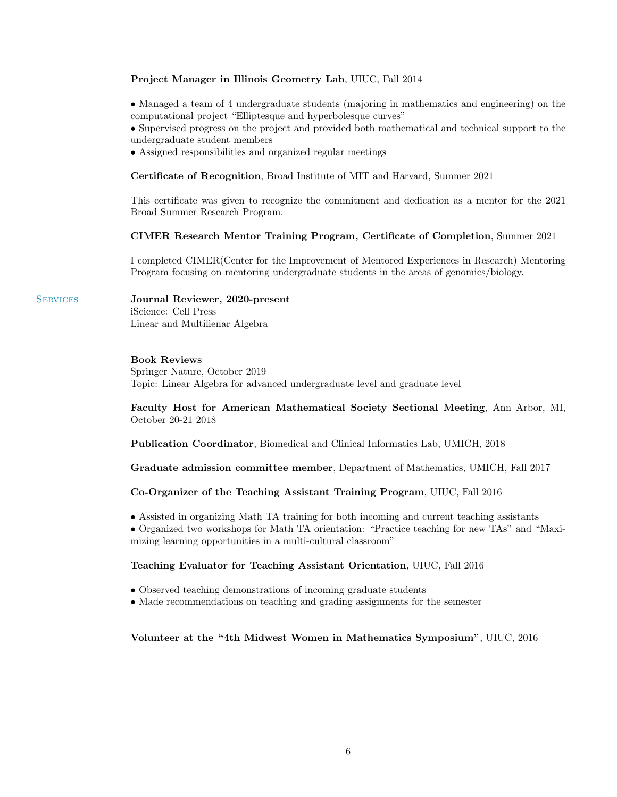# Project Manager in Illinois Geometry Lab, UIUC, Fall 2014

• Managed a team of 4 undergraduate students (majoring in mathematics and engineering) on the computational project "Elliptesque and hyperbolesque curves"

• Supervised progress on the project and provided both mathematical and technical support to the undergraduate student members

• Assigned responsibilities and organized regular meetings

Certificate of Recognition, Broad Institute of MIT and Harvard, Summer 2021

This certificate was given to recognize the commitment and dedication as a mentor for the 2021 Broad Summer Research Program.

## CIMER Research Mentor Training Program, Certificate of Completion, Summer 2021

I completed CIMER(Center for the Improvement of Mentored Experiences in Research) Mentoring Program focusing on mentoring undergraduate students in the areas of genomics/biology.

# SERVICES Journal Reviewer, 2020-present iScience: Cell Press Linear and Multilienar Algebra

# Book Reviews

Springer Nature, October 2019 Topic: Linear Algebra for advanced undergraduate level and graduate level

Faculty Host for American Mathematical Society Sectional Meeting, Ann Arbor, MI, October 20-21 2018

Publication Coordinator, Biomedical and Clinical Informatics Lab, UMICH, 2018

Graduate admission committee member, Department of Mathematics, UMICH, Fall 2017

# Co-Organizer of the Teaching Assistant Training Program, UIUC, Fall 2016

• Assisted in organizing Math TA training for both incoming and current teaching assistants

• Organized two workshops for Math TA orientation: "Practice teaching for new TAs" and "Maximizing learning opportunities in a multi-cultural classroom"

## Teaching Evaluator for Teaching Assistant Orientation, UIUC, Fall 2016

- Observed teaching demonstrations of incoming graduate students
- Made recommendations on teaching and grading assignments for the semester

#### Volunteer at the "4th Midwest Women in Mathematics Symposium", UIUC, 2016